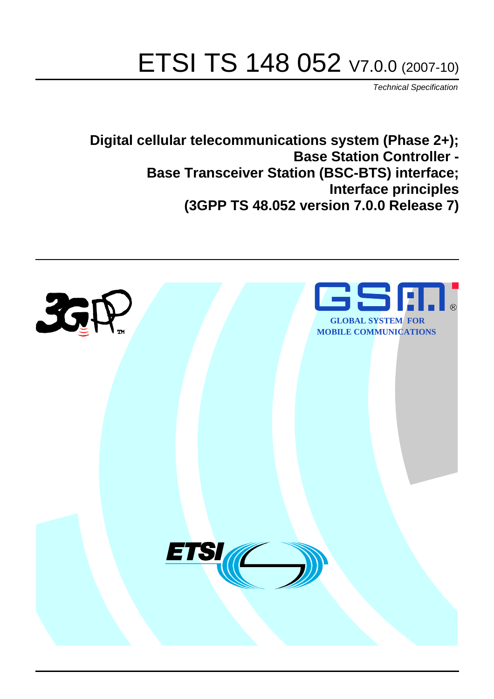# ETSI TS 148 052 V7.0.0 (2007-10)

*Technical Specification*

**Digital cellular telecommunications system (Phase 2+); Base Station Controller - Base Transceiver Station (BSC-BTS) interface; Interface principles (3GPP TS 48.052 version 7.0.0 Release 7)**

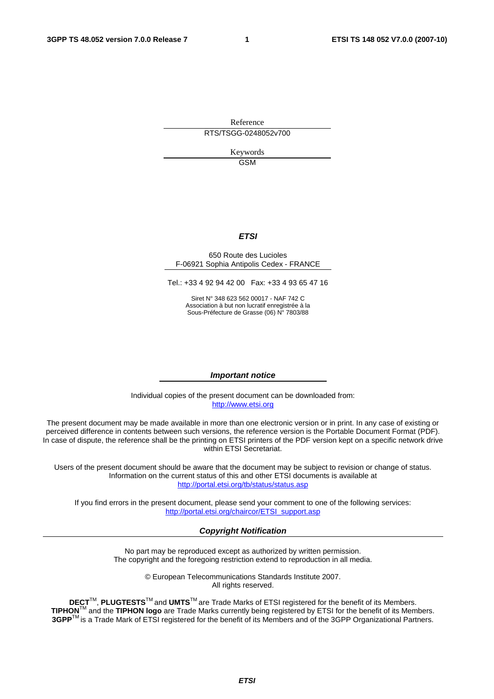Reference RTS/TSGG-0248052v700

> Keywords GSM

#### *ETSI*

#### 650 Route des Lucioles F-06921 Sophia Antipolis Cedex - FRANCE

Tel.: +33 4 92 94 42 00 Fax: +33 4 93 65 47 16

Siret N° 348 623 562 00017 - NAF 742 C Association à but non lucratif enregistrée à la Sous-Préfecture de Grasse (06) N° 7803/88

#### *Important notice*

Individual copies of the present document can be downloaded from: [http://www.etsi.org](http://www.etsi.org/)

The present document may be made available in more than one electronic version or in print. In any case of existing or perceived difference in contents between such versions, the reference version is the Portable Document Format (PDF). In case of dispute, the reference shall be the printing on ETSI printers of the PDF version kept on a specific network drive within ETSI Secretariat.

Users of the present document should be aware that the document may be subject to revision or change of status. Information on the current status of this and other ETSI documents is available at <http://portal.etsi.org/tb/status/status.asp>

If you find errors in the present document, please send your comment to one of the following services: [http://portal.etsi.org/chaircor/ETSI\\_support.asp](http://portal.etsi.org/chaircor/ETSI_support.asp)

#### *Copyright Notification*

No part may be reproduced except as authorized by written permission. The copyright and the foregoing restriction extend to reproduction in all media.

> © European Telecommunications Standards Institute 2007. All rights reserved.

**DECT**TM, **PLUGTESTS**TM and **UMTS**TM are Trade Marks of ETSI registered for the benefit of its Members. **TIPHON**TM and the **TIPHON logo** are Trade Marks currently being registered by ETSI for the benefit of its Members. **3GPP**TM is a Trade Mark of ETSI registered for the benefit of its Members and of the 3GPP Organizational Partners.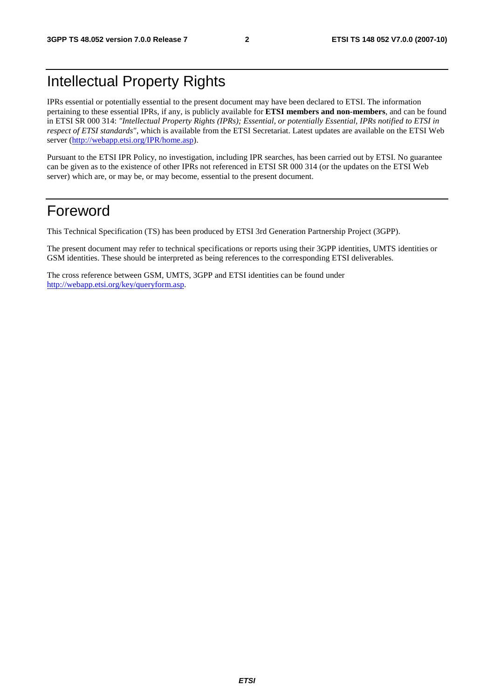# Intellectual Property Rights

IPRs essential or potentially essential to the present document may have been declared to ETSI. The information pertaining to these essential IPRs, if any, is publicly available for **ETSI members and non-members**, and can be found in ETSI SR 000 314: *"Intellectual Property Rights (IPRs); Essential, or potentially Essential, IPRs notified to ETSI in respect of ETSI standards"*, which is available from the ETSI Secretariat. Latest updates are available on the ETSI Web server ([http://webapp.etsi.org/IPR/home.asp\)](http://webapp.etsi.org/IPR/home.asp).

Pursuant to the ETSI IPR Policy, no investigation, including IPR searches, has been carried out by ETSI. No guarantee can be given as to the existence of other IPRs not referenced in ETSI SR 000 314 (or the updates on the ETSI Web server) which are, or may be, or may become, essential to the present document.

### Foreword

This Technical Specification (TS) has been produced by ETSI 3rd Generation Partnership Project (3GPP).

The present document may refer to technical specifications or reports using their 3GPP identities, UMTS identities or GSM identities. These should be interpreted as being references to the corresponding ETSI deliverables.

The cross reference between GSM, UMTS, 3GPP and ETSI identities can be found under [http://webapp.etsi.org/key/queryform.asp.](http://webapp.etsi.org/key/queryform.asp)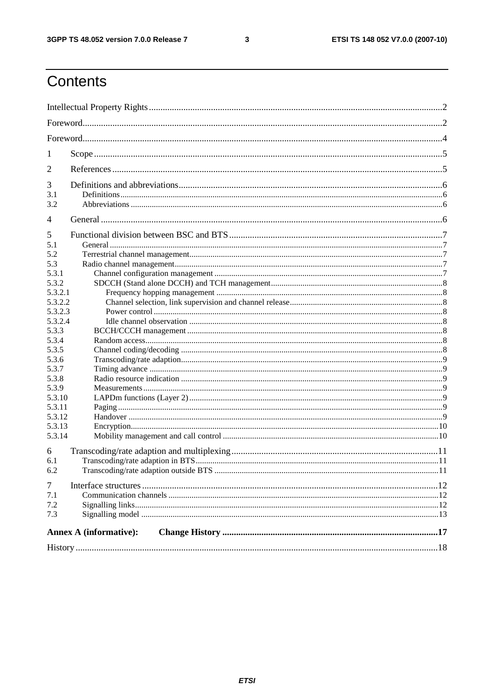#### $\mathbf{3}$

# Contents

| 1                |                               |  |  |  |  |
|------------------|-------------------------------|--|--|--|--|
| 2                |                               |  |  |  |  |
| 3                |                               |  |  |  |  |
| 3.1              |                               |  |  |  |  |
| 3.2              |                               |  |  |  |  |
| 4                |                               |  |  |  |  |
| 5                |                               |  |  |  |  |
| 5.1              |                               |  |  |  |  |
| 5.2              |                               |  |  |  |  |
| 5.3              |                               |  |  |  |  |
| 5.3.1            |                               |  |  |  |  |
| 5.3.2            |                               |  |  |  |  |
| 5.3.2.1          |                               |  |  |  |  |
| 5.3.2.2          |                               |  |  |  |  |
| 5.3.2.3          |                               |  |  |  |  |
| 5.3.2.4          |                               |  |  |  |  |
| 5.3.3            |                               |  |  |  |  |
| 5.3.4            |                               |  |  |  |  |
| 5.3.5            |                               |  |  |  |  |
| 5.3.6            |                               |  |  |  |  |
| 5.3.7            |                               |  |  |  |  |
| 5.3.8            |                               |  |  |  |  |
| 5.3.9            |                               |  |  |  |  |
| 5.3.10           |                               |  |  |  |  |
| 5.3.11           |                               |  |  |  |  |
| 5.3.12<br>5.3.13 |                               |  |  |  |  |
| 5.3.14           |                               |  |  |  |  |
|                  |                               |  |  |  |  |
| 6                |                               |  |  |  |  |
| 6.1              |                               |  |  |  |  |
| 6.2              |                               |  |  |  |  |
| 7                |                               |  |  |  |  |
| 7.1              |                               |  |  |  |  |
| 7.2              |                               |  |  |  |  |
| 7.3              |                               |  |  |  |  |
|                  | <b>Annex A (informative):</b> |  |  |  |  |
|                  |                               |  |  |  |  |
|                  |                               |  |  |  |  |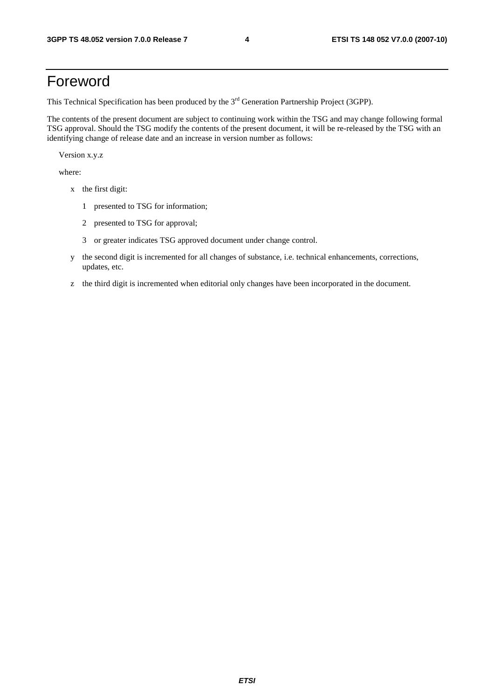# Foreword

This Technical Specification has been produced by the 3<sup>rd</sup> Generation Partnership Project (3GPP).

The contents of the present document are subject to continuing work within the TSG and may change following formal TSG approval. Should the TSG modify the contents of the present document, it will be re-released by the TSG with an identifying change of release date and an increase in version number as follows:

Version x.y.z

where:

- x the first digit:
	- 1 presented to TSG for information;
	- 2 presented to TSG for approval;
	- 3 or greater indicates TSG approved document under change control.
- y the second digit is incremented for all changes of substance, i.e. technical enhancements, corrections, updates, etc.
- z the third digit is incremented when editorial only changes have been incorporated in the document.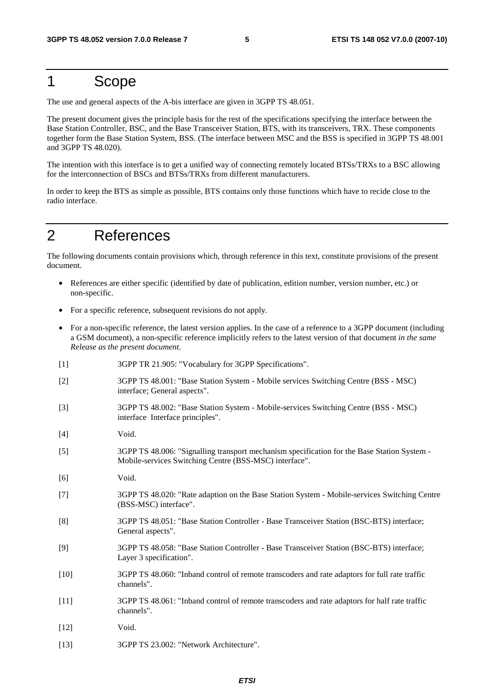## 1 Scope

The use and general aspects of the A-bis interface are given in 3GPP TS 48.051.

The present document gives the principle basis for the rest of the specifications specifying the interface between the Base Station Controller, BSC, and the Base Transceiver Station, BTS, with its transceivers, TRX. These components together form the Base Station System, BSS. (The interface between MSC and the BSS is specified in 3GPP TS 48.001 and 3GPP TS 48.020).

The intention with this interface is to get a unified way of connecting remotely located BTSs/TRXs to a BSC allowing for the interconnection of BSCs and BTSs/TRXs from different manufacturers.

In order to keep the BTS as simple as possible, BTS contains only those functions which have to recide close to the radio interface.

# 2 References

The following documents contain provisions which, through reference in this text, constitute provisions of the present document.

- References are either specific (identified by date of publication, edition number, version number, etc.) or non-specific.
- For a specific reference, subsequent revisions do not apply.
- For a non-specific reference, the latest version applies. In the case of a reference to a 3GPP document (including a GSM document), a non-specific reference implicitly refers to the latest version of that document *in the same Release as the present document*.
- [1] 3GPP TR 21.905: "Vocabulary for 3GPP Specifications".
- [2] 3GPP TS 48.001: "Base Station System Mobile services Switching Centre (BSS MSC) interface; General aspects".
- [3] 3GPP TS 48.002: "Base Station System Mobile-services Switching Centre (BSS MSC) interface Interface principles".
- [4] Void.
- [5] 3GPP TS 48.006: "Signalling transport mechanism specification for the Base Station System Mobile-services Switching Centre (BSS-MSC) interface".
- [6] Void.
- [7] 3GPP TS 48.020: "Rate adaption on the Base Station System Mobile-services Switching Centre (BSS-MSC) interface".
- [8] 3GPP TS 48.051: "Base Station Controller Base Transceiver Station (BSC-BTS) interface; General aspects".
- [9] 3GPP TS 48.058: "Base Station Controller Base Transceiver Station (BSC-BTS) interface; Layer 3 specification".
- [10] 3GPP TS 48.060: "Inband control of remote transcoders and rate adaptors for full rate traffic channels".
- [11] 3GPP TS 48.061: "Inband control of remote transcoders and rate adaptors for half rate traffic channels".
- [12] **Void.**
- [13] 3GPP TS 23.002: "Network Architecture".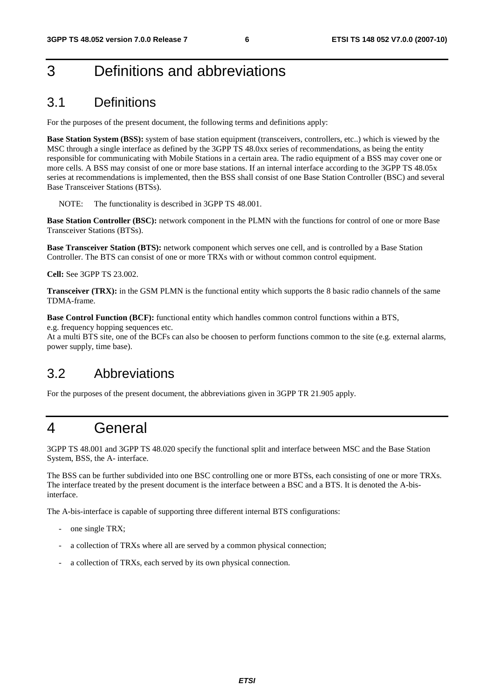# 3 Definitions and abbreviations

### 3.1 Definitions

For the purposes of the present document, the following terms and definitions apply:

**Base Station System (BSS):** system of base station equipment (transceivers, controllers, etc..) which is viewed by the MSC through a single interface as defined by the 3GPP TS 48.0xx series of recommendations, as being the entity responsible for communicating with Mobile Stations in a certain area. The radio equipment of a BSS may cover one or more cells. A BSS may consist of one or more base stations. If an internal interface according to the 3GPP TS 48.05x series at recommendations is implemented, then the BSS shall consist of one Base Station Controller (BSC) and several Base Transceiver Stations (BTSs).

NOTE: The functionality is described in 3GPP TS 48.001.

**Base Station Controller (BSC):** network component in the PLMN with the functions for control of one or more Base Transceiver Stations (BTSs).

**Base Transceiver Station (BTS):** network component which serves one cell, and is controlled by a Base Station Controller. The BTS can consist of one or more TRXs with or without common control equipment.

**Cell:** See 3GPP TS 23.002.

**Transceiver (TRX):** in the GSM PLMN is the functional entity which supports the 8 basic radio channels of the same TDMA-frame.

**Base Control Function (BCF):** functional entity which handles common control functions within a BTS, e.g. frequency hopping sequences etc.

At a multi BTS site, one of the BCFs can also be choosen to perform functions common to the site (e.g. external alarms, power supply, time base).

### 3.2 Abbreviations

For the purposes of the present document, the abbreviations given in 3GPP TR 21.905 apply.

# 4 General

3GPP TS 48.001 and 3GPP TS 48.020 specify the functional split and interface between MSC and the Base Station System, BSS, the A- interface.

The BSS can be further subdivided into one BSC controlling one or more BTSs, each consisting of one or more TRXs. The interface treated by the present document is the interface between a BSC and a BTS. It is denoted the A-bisinterface.

The A-bis-interface is capable of supporting three different internal BTS configurations:

- one single TRX;
- a collection of TRXs where all are served by a common physical connection;
- a collection of TRXs, each served by its own physical connection.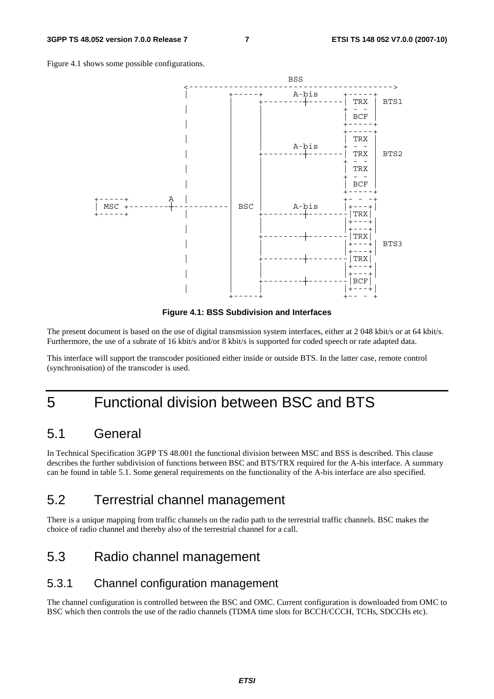Figure 4.1 shows some possible configurations.



**Figure 4.1: BSS Subdivision and Interfaces** 

The present document is based on the use of digital transmission system interfaces, either at 2 048 kbit/s or at 64 kbit/s. Furthermore, the use of a subrate of 16 kbit/s and/or 8 kbit/s is supported for coded speech or rate adapted data.

This interface will support the transcoder positioned either inside or outside BTS. In the latter case, remote control (synchronisation) of the transcoder is used.

# 5 Functional division between BSC and BTS

#### 5.1 General

In Technical Specification 3GPP TS 48.001 the functional division between MSC and BSS is described. This clause describes the further subdivision of functions between BSC and BTS/TRX required for the A-bis interface. A summary can be found in table 5.1. Some general requirements on the functionality of the A-bis interface are also specified.

### 5.2 Terrestrial channel management

There is a unique mapping from traffic channels on the radio path to the terrestrial traffic channels. BSC makes the choice of radio channel and thereby also of the terrestrial channel for a call.

### 5.3 Radio channel management

#### 5.3.1 Channel configuration management

The channel configuration is controlled between the BSC and OMC. Current configuration is downloaded from OMC to BSC which then controls the use of the radio channels (TDMA time slots for BCCH/CCCH, TCHs, SDCCHs etc).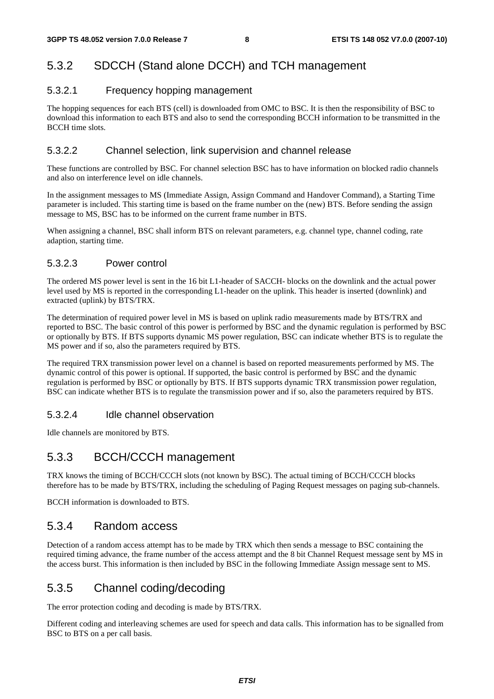#### 5.3.2 SDCCH (Stand alone DCCH) and TCH management

#### 5.3.2.1 Frequency hopping management

The hopping sequences for each BTS (cell) is downloaded from OMC to BSC. It is then the responsibility of BSC to download this information to each BTS and also to send the corresponding BCCH information to be transmitted in the BCCH time slots.

#### 5.3.2.2 Channel selection, link supervision and channel release

These functions are controlled by BSC. For channel selection BSC has to have information on blocked radio channels and also on interference level on idle channels.

In the assignment messages to MS (Immediate Assign, Assign Command and Handover Command), a Starting Time parameter is included. This starting time is based on the frame number on the (new) BTS. Before sending the assign message to MS, BSC has to be informed on the current frame number in BTS.

When assigning a channel, BSC shall inform BTS on relevant parameters, e.g. channel type, channel coding, rate adaption, starting time.

#### 5.3.2.3 Power control

The ordered MS power level is sent in the 16 bit L1-header of SACCH- blocks on the downlink and the actual power level used by MS is reported in the corresponding L1-header on the uplink. This header is inserted (downlink) and extracted (uplink) by BTS/TRX.

The determination of required power level in MS is based on uplink radio measurements made by BTS/TRX and reported to BSC. The basic control of this power is performed by BSC and the dynamic regulation is performed by BSC or optionally by BTS. If BTS supports dynamic MS power regulation, BSC can indicate whether BTS is to regulate the MS power and if so, also the parameters required by BTS.

The required TRX transmission power level on a channel is based on reported measurements performed by MS. The dynamic control of this power is optional. If supported, the basic control is performed by BSC and the dynamic regulation is performed by BSC or optionally by BTS. If BTS supports dynamic TRX transmission power regulation, BSC can indicate whether BTS is to regulate the transmission power and if so, also the parameters required by BTS.

#### 5.3.2.4 Idle channel observation

Idle channels are monitored by BTS.

#### 5.3.3 BCCH/CCCH management

TRX knows the timing of BCCH/CCCH slots (not known by BSC). The actual timing of BCCH/CCCH blocks therefore has to be made by BTS/TRX, including the scheduling of Paging Request messages on paging sub-channels.

BCCH information is downloaded to BTS.

#### 5.3.4 Random access

Detection of a random access attempt has to be made by TRX which then sends a message to BSC containing the required timing advance, the frame number of the access attempt and the 8 bit Channel Request message sent by MS in the access burst. This information is then included by BSC in the following Immediate Assign message sent to MS.

#### 5.3.5 Channel coding/decoding

The error protection coding and decoding is made by BTS/TRX.

Different coding and interleaving schemes are used for speech and data calls. This information has to be signalled from BSC to BTS on a per call basis.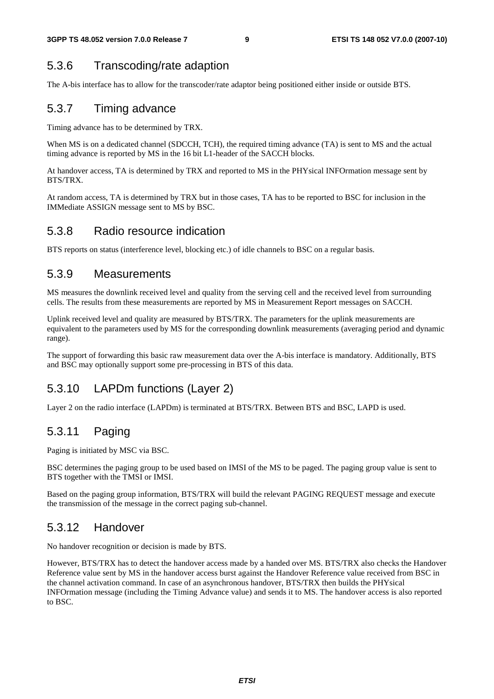### 5.3.6 Transcoding/rate adaption

The A-bis interface has to allow for the transcoder/rate adaptor being positioned either inside or outside BTS.

#### 5.3.7 Timing advance

Timing advance has to be determined by TRX.

When MS is on a dedicated channel (SDCCH, TCH), the required timing advance (TA) is sent to MS and the actual timing advance is reported by MS in the 16 bit L1-header of the SACCH blocks.

At handover access, TA is determined by TRX and reported to MS in the PHYsical INFOrmation message sent by BTS/TRX.

At random access, TA is determined by TRX but in those cases, TA has to be reported to BSC for inclusion in the IMMediate ASSIGN message sent to MS by BSC.

#### 5.3.8 Radio resource indication

BTS reports on status (interference level, blocking etc.) of idle channels to BSC on a regular basis.

#### 5.3.9 Measurements

MS measures the downlink received level and quality from the serving cell and the received level from surrounding cells. The results from these measurements are reported by MS in Measurement Report messages on SACCH.

Uplink received level and quality are measured by BTS/TRX. The parameters for the uplink measurements are equivalent to the parameters used by MS for the corresponding downlink measurements (averaging period and dynamic range).

The support of forwarding this basic raw measurement data over the A-bis interface is mandatory. Additionally, BTS and BSC may optionally support some pre-processing in BTS of this data.

### 5.3.10 LAPDm functions (Layer 2)

Layer 2 on the radio interface (LAPDm) is terminated at BTS/TRX. Between BTS and BSC, LAPD is used.

### 5.3.11 Paging

Paging is initiated by MSC via BSC.

BSC determines the paging group to be used based on IMSI of the MS to be paged. The paging group value is sent to BTS together with the TMSI or IMSI.

Based on the paging group information, BTS/TRX will build the relevant PAGING REQUEST message and execute the transmission of the message in the correct paging sub-channel.

#### 5.3.12 Handover

No handover recognition or decision is made by BTS.

However, BTS/TRX has to detect the handover access made by a handed over MS. BTS/TRX also checks the Handover Reference value sent by MS in the handover access burst against the Handover Reference value received from BSC in the channel activation command. In case of an asynchronous handover, BTS/TRX then builds the PHYsical INFOrmation message (including the Timing Advance value) and sends it to MS. The handover access is also reported to BSC.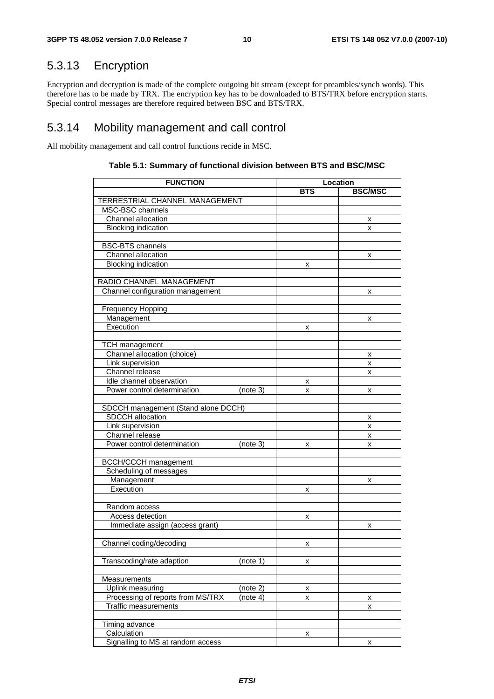### 5.3.13 Encryption

Encryption and decryption is made of the complete outgoing bit stream (except for preambles/synch words). This therefore has to be made by TRX. The encryption key has to be downloaded to BTS/TRX before encryption starts. Special control messages are therefore required between BSC and BTS/TRX.

#### 5.3.14 Mobility management and call control

All mobility management and call control functions recide in MSC.

| <b>FUNCTION</b>                     |               | Location       |
|-------------------------------------|---------------|----------------|
|                                     | <b>BTS</b>    | <b>BSC/MSC</b> |
| TERRESTRIAL CHANNEL MANAGEMENT      |               |                |
| MSC-BSC channels                    |               |                |
| Channel allocation                  |               | x              |
| <b>Blocking indication</b>          |               | x              |
|                                     |               |                |
| <b>BSC-BTS</b> channels             |               |                |
| Channel allocation                  |               | х              |
| <b>Blocking indication</b>          | x             |                |
|                                     |               |                |
| RADIO CHANNEL MANAGEMENT            |               |                |
| Channel configuration management    |               | x              |
|                                     |               |                |
| <b>Frequency Hopping</b>            |               |                |
| Management                          |               | x              |
| Execution                           | x             |                |
|                                     |               |                |
| <b>TCH management</b>               |               |                |
| Channel allocation (choice)         |               | x              |
| Link supervision                    |               | x              |
| Channel release                     |               | x              |
| Idle channel observation            | x             |                |
| Power control determination         | (note 3)<br>x | x              |
|                                     |               |                |
| SDCCH management (Stand alone DCCH) |               |                |
| <b>SDCCH</b> allocation             |               | х              |
| Link supervision                    |               | x              |
| Channel release                     |               | x              |
| Power control determination         | (note 3)<br>x | x              |
|                                     |               |                |
| <b>BCCH/CCCH</b> management         |               |                |
| Scheduling of messages              |               |                |
| Management                          |               | x              |
| Execution                           | х             |                |
|                                     |               |                |
| Random access                       |               |                |
| Access detection                    | x             |                |
| Immediate assign (access grant)     |               | x              |
|                                     |               |                |
| Channel coding/decoding             | Χ             |                |
|                                     |               |                |
| Transcoding/rate adaption           | (note 1)<br>x |                |
|                                     |               |                |
| Measurements                        |               |                |
| Uplink measuring                    | (note 2)<br>x |                |
| Processing of reports from MS/TRX   | (note 4)<br>x | х              |
| <b>Traffic measurements</b>         |               | x              |
|                                     |               |                |
| Timing advance                      |               |                |
| Calculation                         | x             |                |
| Signalling to MS at random access   |               | x              |

#### **Table 5.1: Summary of functional division between BTS and BSC/MSC**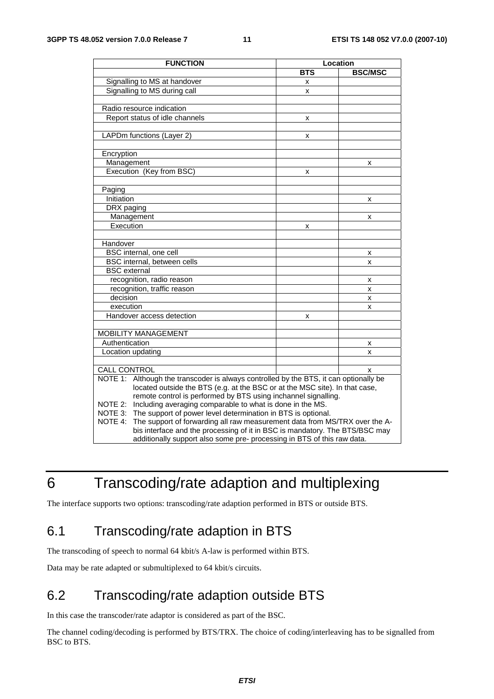| <b>FUNCTION</b>                                                                          | Location   |                |  |
|------------------------------------------------------------------------------------------|------------|----------------|--|
|                                                                                          | <b>BTS</b> | <b>BSC/MSC</b> |  |
| Signalling to MS at handover                                                             | x          |                |  |
| Signalling to MS during call                                                             | x          |                |  |
|                                                                                          |            |                |  |
| Radio resource indication                                                                |            |                |  |
| Report status of idle channels                                                           | x          |                |  |
|                                                                                          |            |                |  |
| LAPDm functions (Layer 2)                                                                | x          |                |  |
|                                                                                          |            |                |  |
| Encryption                                                                               |            |                |  |
| Management                                                                               |            | x              |  |
| Execution (Key from BSC)                                                                 | x          |                |  |
|                                                                                          |            |                |  |
| Paging                                                                                   |            |                |  |
| Initiation                                                                               |            | x              |  |
| DRX paging                                                                               |            |                |  |
| Management                                                                               |            | x              |  |
| Execution                                                                                | x          |                |  |
|                                                                                          |            |                |  |
| Handover                                                                                 |            |                |  |
| BSC internal, one cell                                                                   |            | x              |  |
| BSC internal, between cells                                                              |            | x              |  |
| <b>BSC</b> external                                                                      |            |                |  |
| recognition, radio reason                                                                |            | x              |  |
| recognition, traffic reason                                                              |            | x              |  |
| decision                                                                                 |            | X              |  |
| execution                                                                                |            | x              |  |
| Handover access detection                                                                | x          |                |  |
|                                                                                          |            |                |  |
| <b>MOBILITY MANAGEMENT</b>                                                               |            |                |  |
| Authentication                                                                           |            | x              |  |
| Location updating                                                                        |            | x              |  |
|                                                                                          |            |                |  |
| CALL CONTROL                                                                             |            | x              |  |
| NOTE 1:<br>Although the transcoder is always controlled by the BTS, it can optionally be |            |                |  |
| located outside the BTS (e.g. at the BSC or at the MSC site). In that case,              |            |                |  |
| remote control is performed by BTS using inchannel signalling.                           |            |                |  |
| Including averaging comparable to what is done in the MS.<br>NOTE 2:                     |            |                |  |
| The support of power level determination in BTS is optional.<br>NOTE 3:                  |            |                |  |
| The support of forwarding all raw measurement data from MS/TRX over the A-<br>NOTE 4:    |            |                |  |
| bis interface and the processing of it in BSC is mandatory. The BTS/BSC may              |            |                |  |
| additionally support also some pre- processing in BTS of this raw data.                  |            |                |  |

# 6 Transcoding/rate adaption and multiplexing

The interface supports two options: transcoding/rate adaption performed in BTS or outside BTS.

### 6.1 Transcoding/rate adaption in BTS

The transcoding of speech to normal 64 kbit/s A-law is performed within BTS.

Data may be rate adapted or submultiplexed to 64 kbit/s circuits.

### 6.2 Transcoding/rate adaption outside BTS

In this case the transcoder/rate adaptor is considered as part of the BSC.

The channel coding/decoding is performed by BTS/TRX. The choice of coding/interleaving has to be signalled from BSC to BTS.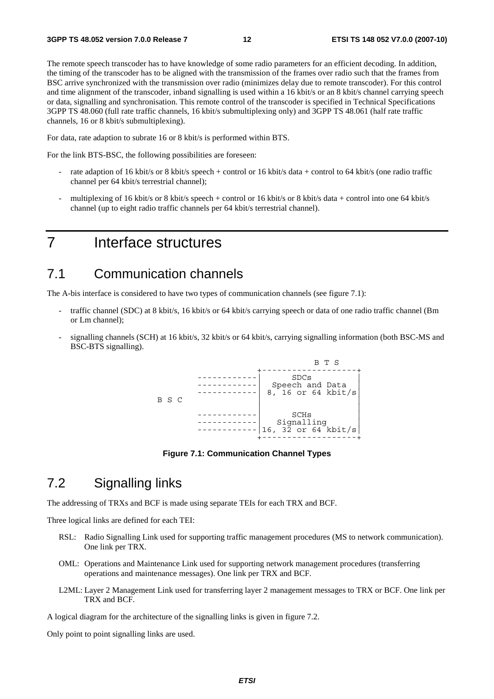The remote speech transcoder has to have knowledge of some radio parameters for an efficient decoding. In addition, the timing of the transcoder has to be aligned with the transmission of the frames over radio such that the frames from BSC arrive synchronized with the transmission over radio (minimizes delay due to remote transcoder). For this control and time alignment of the transcoder, inband signalling is used within a 16 kbit/s or an 8 kbit/s channel carrying speech or data, signalling and synchronisation. This remote control of the transcoder is specified in Technical Specifications 3GPP TS 48.060 (full rate traffic channels, 16 kbit/s submultiplexing only) and 3GPP TS 48.061 (half rate traffic channels, 16 or 8 kbit/s submultiplexing).

For data, rate adaption to subrate 16 or 8 kbit/s is performed within BTS.

For the link BTS-BSC, the following possibilities are foreseen:

- rate adaption of 16 kbit/s or 8 kbit/s speech + control or 16 kbit/s data + control to 64 kbit/s (one radio traffic channel per 64 kbit/s terrestrial channel);
- multiplexing of 16 kbit/s or 8 kbit/s speech + control or 16 kbit/s or 8 kbit/s data + control into one 64 kbit/s channel (up to eight radio traffic channels per 64 kbit/s terrestrial channel).

### 7 Interface structures

#### 7.1 Communication channels

The A-bis interface is considered to have two types of communication channels (see figure 7.1):

- traffic channel (SDC) at 8 kbit/s, 16 kbit/s or 64 kbit/s carrying speech or data of one radio traffic channel (Bm or Lm channel);
- signalling channels (SCH) at 16 kbit/s, 32 kbit/s or 64 kbit/s, carrying signalling information (both BSC-MS and BSC-BTS signalling).



**Figure 7.1: Communication Channel Types** 

### 7.2 Signalling links

The addressing of TRXs and BCF is made using separate TEIs for each TRX and BCF.

Three logical links are defined for each TEI:

- RSL: Radio Signalling Link used for supporting traffic management procedures (MS to network communication). One link per TRX.
- OML: Operations and Maintenance Link used for supporting network management procedures (transferring operations and maintenance messages). One link per TRX and BCF.
- L2ML: Layer 2 Management Link used for transferring layer 2 management messages to TRX or BCF. One link per TRX and BCF.

A logical diagram for the architecture of the signalling links is given in figure 7.2.

Only point to point signalling links are used.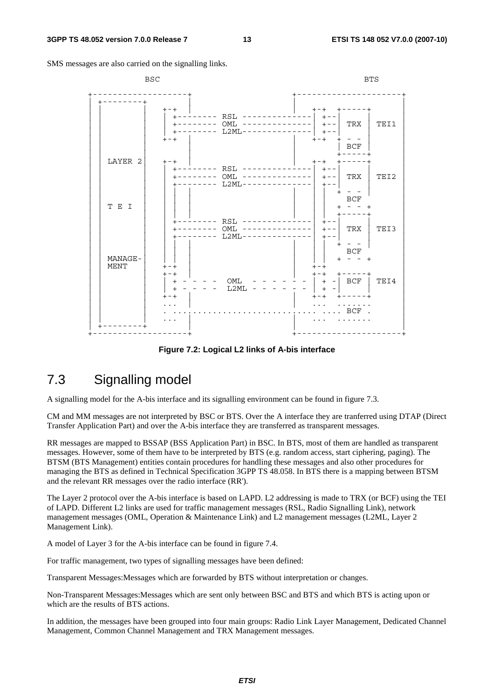SMS messages are also carried on the signalling links.

| <b>BSC</b>                                                            |                                                                                                                 | <b>BTS</b>                                                                                          |
|-----------------------------------------------------------------------|-----------------------------------------------------------------------------------------------------------------|-----------------------------------------------------------------------------------------------------|
| $+ - +$<br>$+-+$                                                      | +-------- RSL -------<br>+-------- OML --------------<br>L2ML-<br>$--- - -   + - -$<br>$- - - - - - -$<br>$+ -$ | $+ - +$<br>$+ - -$<br>TRX<br>TEI1<br>$+ - -$<br>$+-+$<br>BCF                                        |
| LAYER 2<br>$+-+$                                                      | $RSL$ ------<br>OML<br>$L2ML-$                                                                                  | $-+$<br>$+ - -$<br>TRX<br>TEI2<br>$+ - -$<br>$+ - -$                                                |
| T E I                                                                 | $RSL$ -----<br>$OML$ --------------<br>-------<br>$L2ML-$                                                       | <b>BCF</b><br>$+ - -$<br>TRX<br>TEI3<br>$+ - -$                                                     |
| MANAGE-<br><b>MENT</b><br>$+-+$<br>$+-+$<br>$\ddot{}$<br>$+$<br>$+-+$ | OML<br>L2ML                                                                                                     | <b>BCF</b><br>$+ - - +$<br>$+-+$<br>$+ - +$<br>TEI4<br>BCF<br>$+ -$<br>$+$<br>$+-+$<br>$\ldots$ BCF |
|                                                                       |                                                                                                                 |                                                                                                     |

**Figure 7.2: Logical L2 links of A-bis interface** 

### 7.3 Signalling model

A signalling model for the A-bis interface and its signalling environment can be found in figure 7.3.

CM and MM messages are not interpreted by BSC or BTS. Over the A interface they are tranferred using DTAP (Direct Transfer Application Part) and over the A-bis interface they are transferred as transparent messages.

RR messages are mapped to BSSAP (BSS Application Part) in BSC. In BTS, most of them are handled as transparent messages. However, some of them have to be interpreted by BTS (e.g. random access, start ciphering, paging). The BTSM (BTS Management) entities contain procedures for handling these messages and also other procedures for managing the BTS as defined in Technical Specification 3GPP TS 48.058. In BTS there is a mapping between BTSM and the relevant RR messages over the radio interface (RR').

The Layer 2 protocol over the A-bis interface is based on LAPD. L2 addressing is made to TRX (or BCF) using the TEI of LAPD. Different L2 links are used for traffic management messages (RSL, Radio Signalling Link), network management messages (OML, Operation & Maintenance Link) and L2 management messages (L2ML, Layer 2 Management Link).

A model of Layer 3 for the A-bis interface can be found in figure 7.4.

For traffic management, two types of signalling messages have been defined:

Transparent Messages:Messages which are forwarded by BTS without interpretation or changes.

Non-Transparent Messages:Messages which are sent only between BSC and BTS and which BTS is acting upon or which are the results of BTS actions.

In addition, the messages have been grouped into four main groups: Radio Link Layer Management, Dedicated Channel Management, Common Channel Management and TRX Management messages.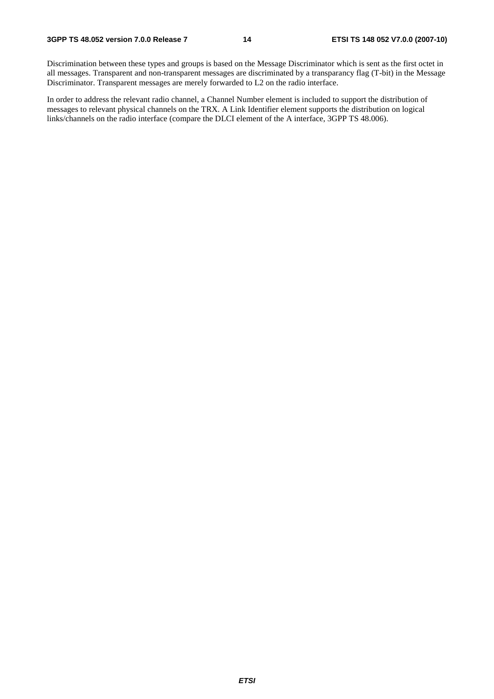Discrimination between these types and groups is based on the Message Discriminator which is sent as the first octet in all messages. Transparent and non-transparent messages are discriminated by a transparancy flag (T-bit) in the Message Discriminator. Transparent messages are merely forwarded to L2 on the radio interface.

In order to address the relevant radio channel, a Channel Number element is included to support the distribution of messages to relevant physical channels on the TRX. A Link Identifier element supports the distribution on logical links/channels on the radio interface (compare the DLCI element of the A interface, 3GPP TS 48.006).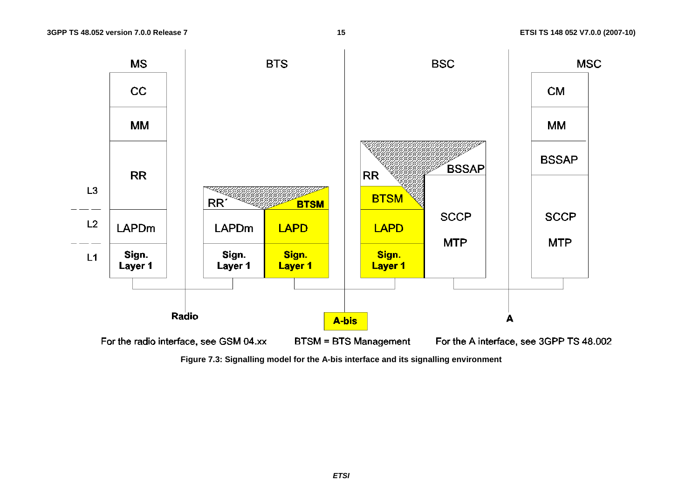

**Figure 7.3: Signalling model for the A-bis interface and its signalling environment**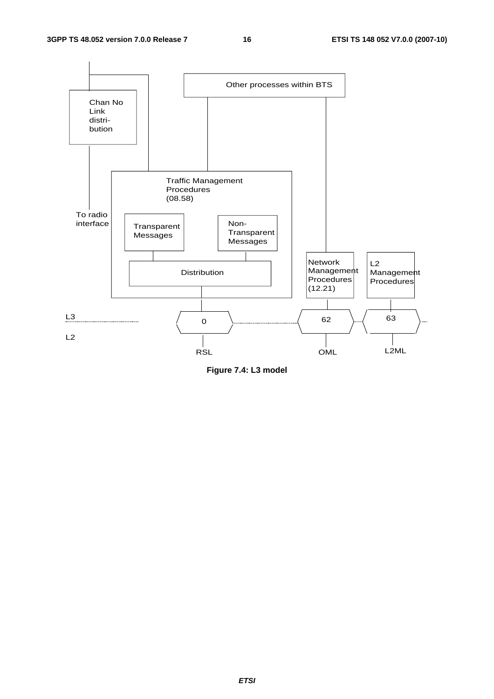

**Figure 7.4: L3 model**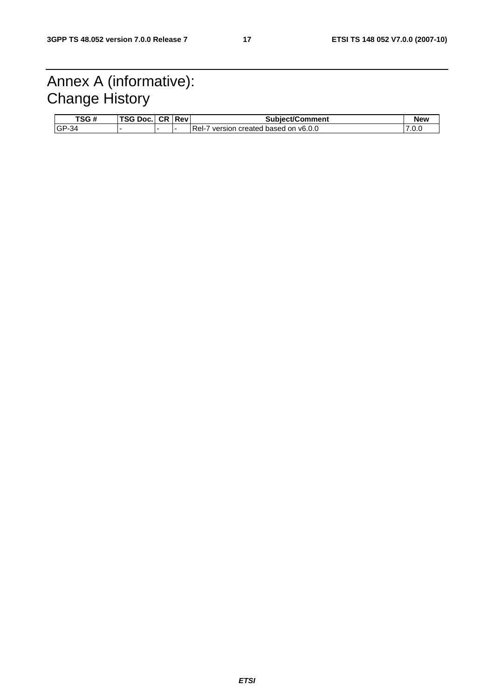# Annex A (informative): Change History

| TSG#     | TCAB <sub>2</sub><br>Doc.<br>ن ک | <b>CR Rev</b> | Subject/Comment                          | <b>New</b> |
|----------|----------------------------------|---------------|------------------------------------------|------------|
| $IGP-34$ |                                  |               | Rel-<br>version created based on v6.0.0" | .v.v       |